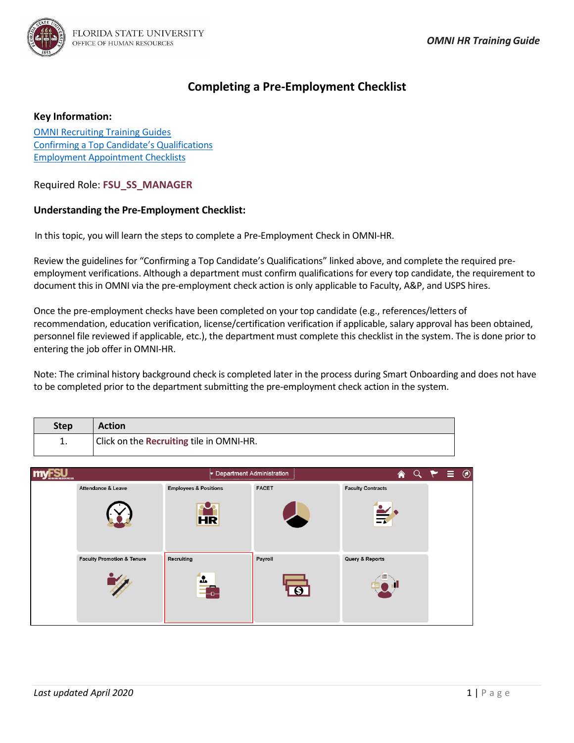

## **Completing a Pre-Employment Checklist**

## **Key Information:**

[OMNI Recruiting Training Guides](http://hr.fsu.edu/?page=training/training_omni) Confirming [a Top Candidate's Qualifications](https://hr.fsu.edu/?page=ers/confirm_qualifications) [Employment Appointment Checklists](https://hr.fsu.edu/sections/employment-recruitment-services/departments)

Required Role: **FSU\_SS\_MANAGER**

## **Understanding the Pre-Employment Checklist:**

In this topic, you will learn the steps to complete a Pre-Employment Check in OMNI-HR.

Review the guidelines for "Confirming a Top Candidate's Qualifications" linked above, and complete the required preemployment verifications. Although a department must confirm qualifications for every top candidate, the requirement to document this in OMNI via the pre-employment check action is only applicable to Faculty, A&P, and USPS hires.

Once the pre-employment checks have been completed on your top candidate (e.g., references/letters of recommendation, education verification, license/certification verification if applicable, salary approval has been obtained, personnel file reviewed if applicable, etc.), the department must complete this checklist in the system. The is done prior to entering the job offer in OMNI-HR.

Note: The criminal history background check is completed later in the process during Smart Onboarding and does not have to be completed prior to the department submitting the pre-employment check action in the system.

| <b>Step</b> | <b>Action</b>                            |
|-------------|------------------------------------------|
| ∸.          | Click on the Recruiting tile in OMNI-HR. |

| <b>IAN RESOURCES</b> |                                       | Department Administration        |              | $\land$ $\lor$ $\land$ $\equiv$ $\circ$ |  |  |
|----------------------|---------------------------------------|----------------------------------|--------------|-----------------------------------------|--|--|
|                      | Attendance & Leave                    | <b>Employees &amp; Positions</b> | <b>FACET</b> | <b>Faculty Contracts</b>                |  |  |
|                      |                                       | H <sub>R</sub>                   |              | $\frac{2}{3}$                           |  |  |
|                      | <b>Faculty Promotion &amp; Tenure</b> | Recruiting                       | Payroll      | Query & Reports                         |  |  |
|                      |                                       | $\cdot$<br>⊕<br>-                |              |                                         |  |  |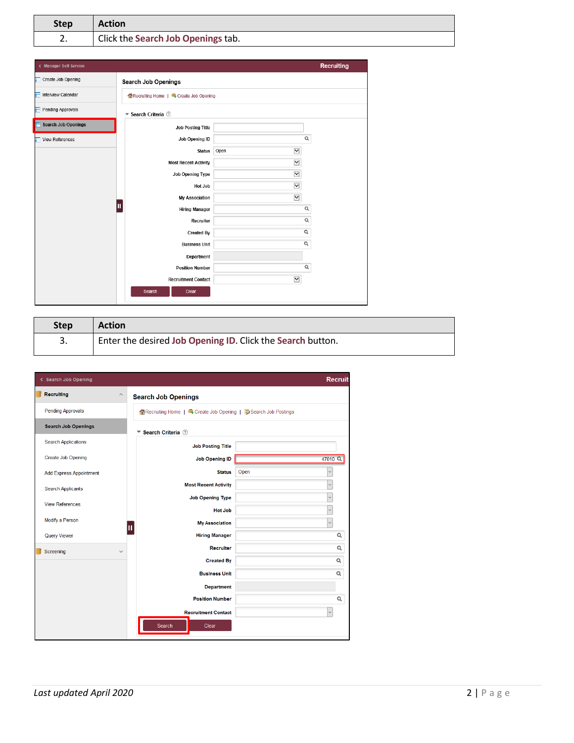| <b>Step</b> | <b>Action</b>                      |
|-------------|------------------------------------|
| z.          | Click the Search Job Openings tab. |

| < Manager Self Service          |                                      |                          | Recruiting     |  |  |  |  |
|---------------------------------|--------------------------------------|--------------------------|----------------|--|--|--|--|
| Create Job Opening              | <b>Search Job Openings</b>           |                          |                |  |  |  |  |
| <b>Interview Calendar</b><br>а  | Recruiting Home   Create Job Opening |                          |                |  |  |  |  |
| Pending Approvals               | ▼ Search Criteria 2                  |                          |                |  |  |  |  |
| Ħ<br><b>Search Job Openings</b> | <b>Job Posting Title</b>             |                          |                |  |  |  |  |
| <b>View References</b>          | Job Opening ID                       |                          | Q              |  |  |  |  |
|                                 | <b>Status</b>                        | $\checkmark$<br>Open     |                |  |  |  |  |
|                                 | <b>Most Recent Activity</b>          | $\checkmark$             |                |  |  |  |  |
|                                 | Job Opening Type                     | $\overline{\phantom{0}}$ |                |  |  |  |  |
|                                 | Hot Job                              | $\overline{\mathbf{y}}$  |                |  |  |  |  |
|                                 | <b>My Association</b>                | $\overline{\phantom{0}}$ |                |  |  |  |  |
|                                 | Π<br><b>Hiring Manager</b>           |                          | Q              |  |  |  |  |
|                                 | Recruiter                            |                          | $\mathsf Q$    |  |  |  |  |
|                                 | <b>Created By</b>                    |                          | $\mathsf{Q}_i$ |  |  |  |  |
|                                 | <b>Business Unit</b>                 |                          | $\alpha$       |  |  |  |  |
|                                 | Department                           |                          |                |  |  |  |  |
|                                 | <b>Position Number</b>               |                          | $\alpha$       |  |  |  |  |
|                                 | <b>Recruitment Contact</b>           | $\breve{}$               |                |  |  |  |  |
|                                 | Search<br>Clear                      |                          |                |  |  |  |  |

| <b>Step</b> | <b>Action</b>                                              |
|-------------|------------------------------------------------------------|
| 3.          | Enter the desired Job Opening ID. Click the Search button. |

| < Search Job Opening           |                                                                 | <b>Recruit</b>       |
|--------------------------------|-----------------------------------------------------------------|----------------------|
| <b>Recruiting</b>              | $\widehat{\phantom{a}}$<br><b>Search Job Openings</b>           |                      |
| <b>Pending Approvals</b>       | Recruiting Home   电 Create Job Opening   hp Search Job Postings |                      |
| <b>Search Job Openings</b>     | Search Criteria 2<br>▼                                          |                      |
| <b>Search Applications</b>     | <b>Job Posting Title</b>                                        |                      |
| <b>Create Job Opening</b>      | <b>Job Opening ID</b>                                           | 47010 <sup>Q</sup>   |
| <b>Add Express Appointment</b> | <b>Status</b>                                                   | Open<br>$\checkmark$ |
| <b>Search Applicants</b>       | <b>Most Recent Activity</b>                                     | $\checkmark$         |
| <b>View References</b>         | <b>Job Opening Type</b>                                         | $\checkmark$         |
| Modify a Person                | <b>Hot Job</b>                                                  | $\checkmark$         |
|                                | <b>My Association</b><br>П                                      | $\checkmark$         |
| <b>Query Viewer</b>            | <b>Hiring Manager</b><br><b>Recruiter</b>                       | Q<br>Q               |
| Screening                      | $\checkmark$<br><b>Created By</b>                               | Q                    |
|                                | <b>Business Unit</b>                                            | Q                    |
|                                | <b>Department</b>                                               |                      |
|                                | <b>Position Number</b>                                          | $\alpha$             |
|                                | <b>Recruitment Contact</b>                                      | $\checkmark$         |
|                                | Search<br>Clear                                                 |                      |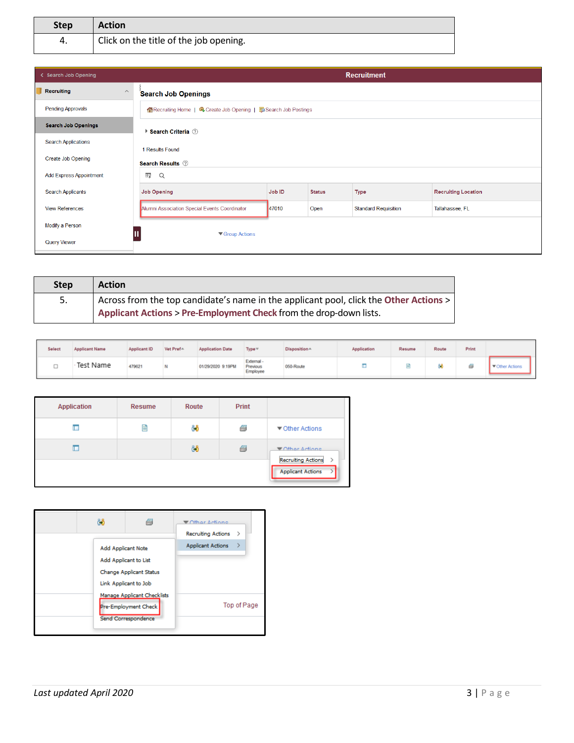| <b>Step</b> | <b>Action</b>                          |
|-------------|----------------------------------------|
| 4.          | Click on the title of the job opening. |

| < Search Job Opening           |                                               | <b>Recruitment</b>                                               |               |                             |                            |  |  |  |  |
|--------------------------------|-----------------------------------------------|------------------------------------------------------------------|---------------|-----------------------------|----------------------------|--|--|--|--|
| Recruiting<br>$\wedge$         | <b>Search Job Openings</b>                    |                                                                  |               |                             |                            |  |  |  |  |
| <b>Pending Approvals</b>       |                                               | A Recruiting Home   ■ Create Job Opening   ■ Search Job Postings |               |                             |                            |  |  |  |  |
| <b>Search Job Openings</b>     | ▶ Search Criteria ②                           |                                                                  |               |                             |                            |  |  |  |  |
| <b>Search Applications</b>     | 1 Results Found                               |                                                                  |               |                             |                            |  |  |  |  |
| <b>Create Job Opening</b>      | <b>Search Results</b> 2                       |                                                                  |               |                             |                            |  |  |  |  |
| <b>Add Express Appointment</b> | 霉<br>$\alpha$                                 |                                                                  |               |                             |                            |  |  |  |  |
| <b>Search Applicants</b>       | <b>Job Opening</b>                            | Job ID                                                           | <b>Status</b> | <b>Type</b>                 | <b>Recruiting Location</b> |  |  |  |  |
| <b>View References</b>         | Alumni Association Special Events Coordinator | 47010                                                            | Open          | <b>Standard Requisition</b> | Tallahassee, FL            |  |  |  |  |
| Modify a Person                |                                               |                                                                  |               |                             |                            |  |  |  |  |
| <b>Query Viewer</b>            | ▼ Group Actions                               |                                                                  |               |                             |                            |  |  |  |  |

| <b>Step</b> | <b>Action</b>                                                                         |
|-------------|---------------------------------------------------------------------------------------|
| 5.          | Across from the top candidate's name in the applicant pool, click the Other Actions > |
|             | Applicant Actions > Pre-Employment Check from the drop-down lists.                    |

| Select | <b>Applicant Name</b> | Applicant ID | Vet Pref <sup>A</sup> | <b>Application Date</b> | Type =                             | Disposition* | Application | Resume | Route | Print |                      |
|--------|-----------------------|--------------|-----------------------|-------------------------|------------------------------------|--------------|-------------|--------|-------|-------|----------------------|
| ∽      | Test Name             | 479621       | N                     | 01/29/2020 9:19PM       | External -<br>Previous<br>Employee | 050-Route    |             | B      |       |       | <b>Uther Actions</b> |

| <b>Application</b> | <b>Resume</b> | <b>Route</b> | Print |                                                       |
|--------------------|---------------|--------------|-------|-------------------------------------------------------|
|                    | 目             | දීරී         | Ø     | ▼ Other Actions                                       |
| L                  |               | දීරී         | Ø     | Mhar Actions                                          |
|                    |               |              |       | <b>Recruiting Actions</b><br><b>Applicant Actions</b> |

|                    | A                                                                          | <b>▼</b> Other Actione<br><b>Recruiting Actions</b> | $\rightarrow$ |
|--------------------|----------------------------------------------------------------------------|-----------------------------------------------------|---------------|
| Add Applicant Note | Add Applicant to List<br>Change Applicant Status<br>Link Applicant to Job  | <b>Applicant Actions</b>                            |               |
|                    | Manage Applicant Checklists<br>Pre-Employment Check<br>Send Correspondence |                                                     | Top of Page   |